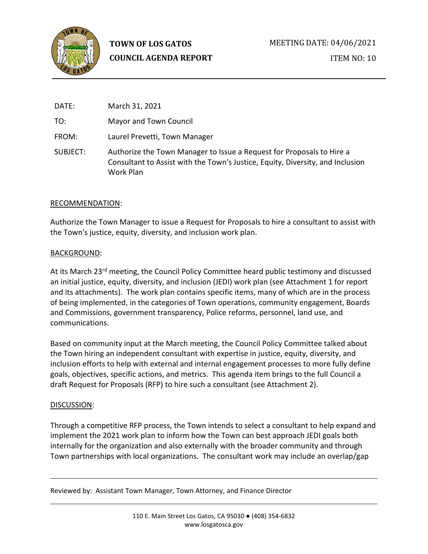

ITEM NO: 10

| DATE:    | March 31, 2021                                                                                                                                                       |
|----------|----------------------------------------------------------------------------------------------------------------------------------------------------------------------|
| TO:      | Mayor and Town Council                                                                                                                                               |
| FROM:    | Laurel Prevetti, Town Manager                                                                                                                                        |
| SUBJECT: | Authorize the Town Manager to Issue a Request for Proposals to Hire a<br>Consultant to Assist with the Town's Justice, Equity, Diversity, and Inclusion<br>Work Plan |

# RECOMMENDATION:

Authorize the Town Manager to issue a Request for Proposals to hire a consultant to assist with the Town's justice, equity, diversity, and inclusion work plan.

# BACKGROUND:

At its March 23<sup>rd</sup> meeting, the Council Policy Committee heard public testimony and discussed an initial justice, equity, diversity, and inclusion (JEDI) work plan (see Attachment 1 for report and its attachments). The work plan contains specific items, many of which are in the process of being implemented, in the categories of Town operations, community engagement, Boards and Commissions, government transparency, Police reforms, personnel, land use, and communications.

Based on community input at the March meeting, the Council Policy Committee talked about the Town hiring an independent consultant with expertise in justice, equity, diversity, and inclusion efforts to help with external and internal engagement processes to more fully define goals, objectives, specific actions, and metrics. This agenda item brings to the full Council a draft Request for Proposals (RFP) to hire such a consultant (see Attachment 2).

## DISCUSSION:

Through a competitive RFP process, the Town intends to select a consultant to help expand and implement the 2021 work plan to inform how the Town can best approach JEDI goals both internally for the organization and also externally with the broader community and through Town partnerships with local organizations. The consultant work may include an overlap/gap

Reviewed by: Assistant Town Manager, Town Attorney, and Finance Director